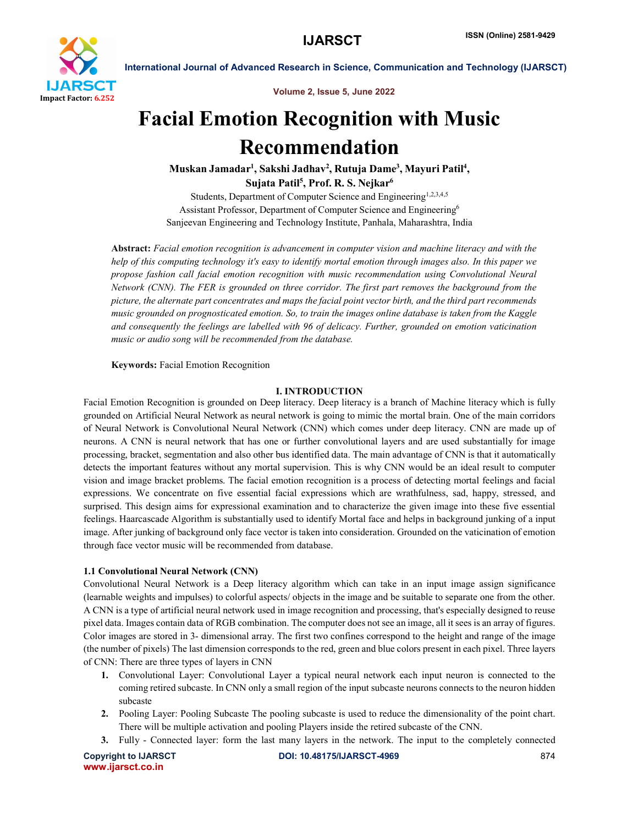

Volume 2, Issue 5, June 2022

# Facial Emotion Recognition with Music Recommendation

Muskan Jamadar<sup>1</sup>, Sakshi Jadhav<sup>2</sup>, Rutuja Dame<sup>3</sup>, Mayuri Patil<sup>4</sup>, Sujata Patil<sup>5</sup>, Prof. R. S. Nejkar<sup>6</sup>

Students, Department of Computer Science and Engineering<sup>1,2,3,4,5</sup> Assistant Professor, Department of Computer Science and Engineering6 Sanjeevan Engineering and Technology Institute, Panhala, Maharashtra, India

Abstract: *Facial emotion recognition is advancement in computer vision and machine literacy and with the help of this computing technology it's easy to identify mortal emotion through images also. In this paper we propose fashion call facial emotion recognition with music recommendation using Convolutional Neural Network (CNN). The FER is grounded on three corridor. The first part removes the background from the picture, the alternate part concentrates and maps the facial point vector birth, and the third part recommends music grounded on prognosticated emotion. So, to train the images online database is taken from the Kaggle and consequently the feelings are labelled with 96 of delicacy. Further, grounded on emotion vaticination music or audio song will be recommended from the database.*

Keywords: Facial Emotion Recognition

### I. INTRODUCTION

Facial Emotion Recognition is grounded on Deep literacy. Deep literacy is a branch of Machine literacy which is fully grounded on Artificial Neural Network as neural network is going to mimic the mortal brain. One of the main corridors of Neural Network is Convolutional Neural Network (CNN) which comes under deep literacy. CNN are made up of neurons. A CNN is neural network that has one or further convolutional layers and are used substantially for image processing, bracket, segmentation and also other bus identified data. The main advantage of CNN is that it automatically detects the important features without any mortal supervision. This is why CNN would be an ideal result to computer vision and image bracket problems. The facial emotion recognition is a process of detecting mortal feelings and facial expressions. We concentrate on five essential facial expressions which are wrathfulness, sad, happy, stressed, and surprised. This design aims for expressional examination and to characterize the given image into these five essential feelings. Haarcascade Algorithm is substantially used to identify Mortal face and helps in background junking of a input image. After junking of background only face vector is taken into consideration. Grounded on the vaticination of emotion through face vector music will be recommended from database.

### 1.1 Convolutional Neural Network (CNN)

Convolutional Neural Network is a Deep literacy algorithm which can take in an input image assign significance (learnable weights and impulses) to colorful aspects/ objects in the image and be suitable to separate one from the other. A CNN is a type of artificial neural network used in image recognition and processing, that's especially designed to reuse pixel data. Images contain data of RGB combination. The computer does not see an image, all it sees is an array of figures. Color images are stored in 3- dimensional array. The first two confines correspond to the height and range of the image (the number of pixels) The last dimension corresponds to the red, green and blue colors present in each pixel. Three layers of CNN: There are three types of layers in CNN

- 1. Convolutional Layer: Convolutional Layer a typical neural network each input neuron is connected to the coming retired subcaste. In CNN only a small region of the input subcaste neurons connects to the neuron hidden subcaste
- 2. Pooling Layer: Pooling Subcaste The pooling subcaste is used to reduce the dimensionality of the point chart. There will be multiple activation and pooling Players inside the retired subcaste of the CNN.
- 3. Fully Connected layer: form the last many layers in the network. The input to the completely connected

www.ijarsct.co.in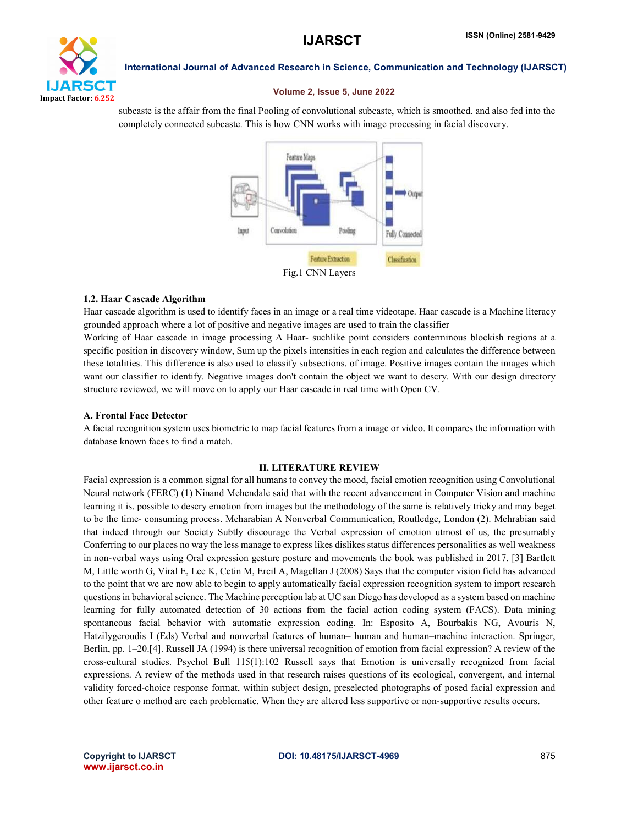

#### Volume 2, Issue 5, June 2022

subcaste is the affair from the final Pooling of convolutional subcaste, which is smoothed. and also fed into the completely connected subcaste. This is how CNN works with image processing in facial discovery.



### 1.2. Haar Cascade Algorithm

Haar cascade algorithm is used to identify faces in an image or a real time videotape. Haar cascade is a Machine literacy grounded approach where a lot of positive and negative images are used to train the classifier

Working of Haar cascade in image processing A Haar- suchlike point considers conterminous blockish regions at a specific position in discovery window, Sum up the pixels intensities in each region and calculates the difference between these totalities. This difference is also used to classify subsections. of image. Positive images contain the images which want our classifier to identify. Negative images don't contain the object we want to descry. With our design directory structure reviewed, we will move on to apply our Haar cascade in real time with Open CV.

#### A. Frontal Face Detector

A facial recognition system uses biometric to map facial features from a image or video. It compares the information with database known faces to find a match.

#### II. LITERATURE REVIEW

Facial expression is a common signal for all humans to convey the mood, facial emotion recognition using Convolutional Neural network (FERC) (1) Ninand Mehendale said that with the recent advancement in Computer Vision and machine learning it is. possible to descry emotion from images but the methodology of the same is relatively tricky and may beget to be the time- consuming process. Meharabian A Nonverbal Communication, Routledge, London (2). Mehrabian said that indeed through our Society Subtly discourage the Verbal expression of emotion utmost of us, the presumably Conferring to our places no way the less manage to express likes dislikes status differences personalities as well weakness in non-verbal ways using Oral expression gesture posture and movements the book was published in 2017. [3] Bartlett M, Little worth G, Viral E, Lee K, Cetin M, Ercil A, Magellan J (2008) Says that the computer vision field has advanced to the point that we are now able to begin to apply automatically facial expression recognition system to import research questions in behavioral science. The Machine perception lab at UC san Diego has developed as a system based on machine learning for fully automated detection of 30 actions from the facial action coding system (FACS). Data mining spontaneous facial behavior with automatic expression coding. In: Esposito A, Bourbakis NG, Avouris N, Hatzilygeroudis I (Eds) Verbal and nonverbal features of human– human and human–machine interaction. Springer, Berlin, pp. 1–20.[4]. Russell JA (1994) is there universal recognition of emotion from facial expression? A review of the cross-cultural studies. Psychol Bull 115(1):102 Russell says that Emotion is universally recognized from facial expressions. A review of the methods used in that research raises questions of its ecological, convergent, and internal validity forced-choice response format, within subject design, preselected photographs of posed facial expression and other feature o method are each problematic. When they are altered less supportive or non-supportive results occurs.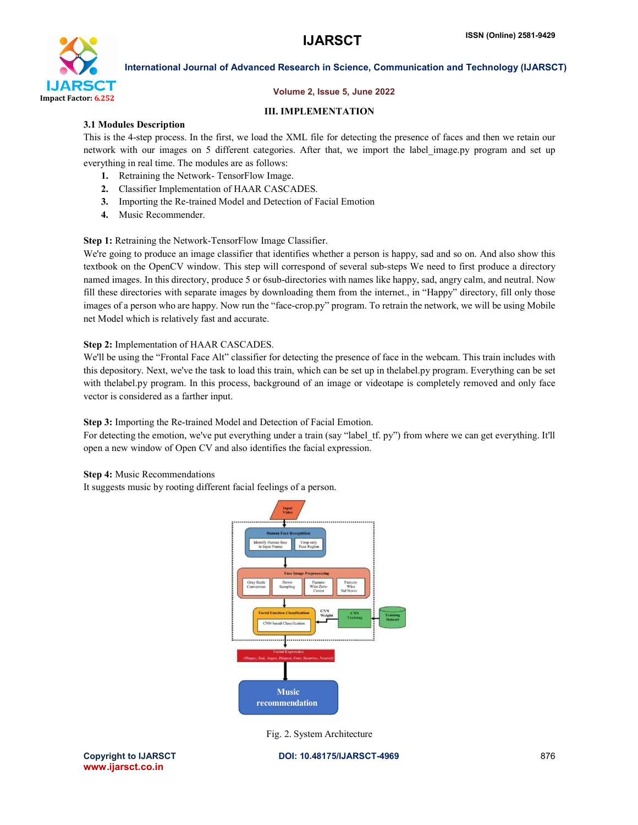

#### Volume 2, Issue 5, June 2022

#### III. IMPLEMENTATION

#### 3.1 Modules Description

This is the 4-step process. In the first, we load the XML file for detecting the presence of faces and then we retain our network with our images on 5 different categories. After that, we import the label\_image.py program and set up everything in real time. The modules are as follows:

- 1. Retraining the Network- TensorFlow Image.
- 2. Classifier Implementation of HAAR CASCADES.
- 3. Importing the Re-trained Model and Detection of Facial Emotion
- 4. Music Recommender.

Step 1: Retraining the Network-TensorFlow Image Classifier.

We're going to produce an image classifier that identifies whether a person is happy, sad and so on. And also show this textbook on the OpenCV window. This step will correspond of several sub-steps We need to first produce a directory named images. In this directory, produce 5 or 6sub-directories with names like happy, sad, angry calm, and neutral. Now fill these directories with separate images by downloading them from the internet., in "Happy" directory, fill only those images of a person who are happy. Now run the "face-crop.py" program. To retrain the network, we will be using Mobile net Model which is relatively fast and accurate.

### Step 2: Implementation of HAAR CASCADES.

We'll be using the "Frontal Face Alt" classifier for detecting the presence of face in the webcam. This train includes with this depository. Next, we've the task to load this train, which can be set up in thelabel.py program. Everything can be set with thelabel.py program. In this process, background of an image or videotape is completely removed and only face vector is considered as a farther input.

Step 3: Importing the Re-trained Model and Detection of Facial Emotion.

For detecting the emotion, we've put everything under a train (say "label tf. py") from where we can get everything. It'll open a new window of Open CV and also identifies the facial expression.

#### Step 4: Music Recommendations

It suggests music by rooting different facial feelings of a person.



Fig. 2. System Architecture

www.ijarsct.co.in

Copyright to IJARSCT DOI: 10.48175/IJARSCT-4969 876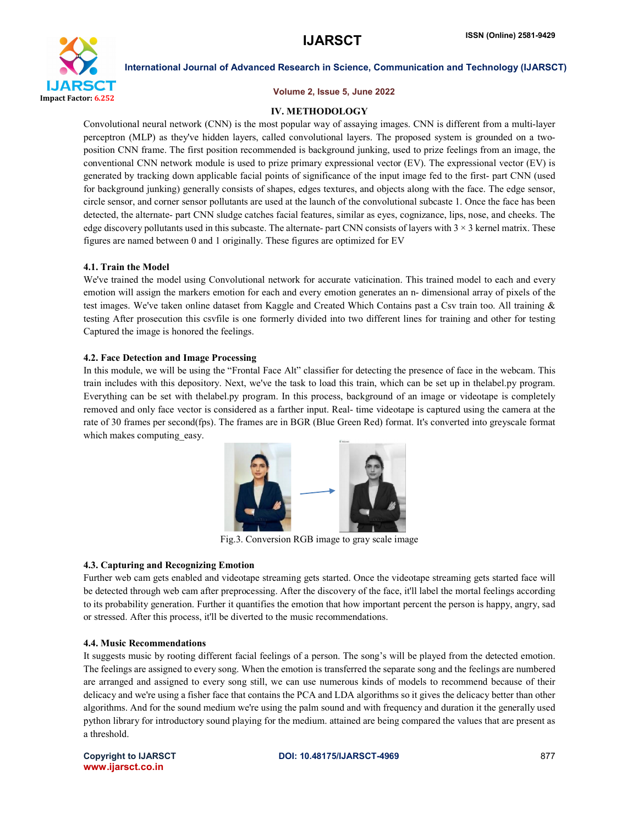

#### Volume 2, Issue 5, June 2022

#### IV. METHODOLOGY

Convolutional neural network (CNN) is the most popular way of assaying images. CNN is different from a multi-layer perceptron (MLP) as they've hidden layers, called convolutional layers. The proposed system is grounded on a twoposition CNN frame. The first position recommended is background junking, used to prize feelings from an image, the conventional CNN network module is used to prize primary expressional vector (EV). The expressional vector (EV) is generated by tracking down applicable facial points of significance of the input image fed to the first- part CNN (used for background junking) generally consists of shapes, edges textures, and objects along with the face. The edge sensor, circle sensor, and corner sensor pollutants are used at the launch of the convolutional subcaste 1. Once the face has been detected, the alternate- part CNN sludge catches facial features, similar as eyes, cognizance, lips, nose, and cheeks. The edge discovery pollutants used in this subcaste. The alternate- part CNN consists of layers with  $3 \times 3$  kernel matrix. These figures are named between 0 and 1 originally. These figures are optimized for EV

#### 4.1. Train the Model

We've trained the model using Convolutional network for accurate vaticination. This trained model to each and every emotion will assign the markers emotion for each and every emotion generates an n- dimensional array of pixels of the test images. We've taken online dataset from Kaggle and Created Which Contains past a Csv train too. All training & testing After prosecution this csvfile is one formerly divided into two different lines for training and other for testing Captured the image is honored the feelings.

### 4.2. Face Detection and Image Processing

In this module, we will be using the "Frontal Face Alt" classifier for detecting the presence of face in the webcam. This train includes with this depository. Next, we've the task to load this train, which can be set up in thelabel.py program. Everything can be set with thelabel.py program. In this process, background of an image or videotape is completely removed and only face vector is considered as a farther input. Real- time videotape is captured using the camera at the rate of 30 frames per second(fps). The frames are in BGR (Blue Green Red) format. It's converted into greyscale format which makes computing easy.



Fig.3. Conversion RGB image to gray scale image

#### 4.3. Capturing and Recognizing Emotion

Further web cam gets enabled and videotape streaming gets started. Once the videotape streaming gets started face will be detected through web cam after preprocessing. After the discovery of the face, it'll label the mortal feelings according to its probability generation. Further it quantifies the emotion that how important percent the person is happy, angry, sad or stressed. After this process, it'll be diverted to the music recommendations.

#### 4.4. Music Recommendations

It suggests music by rooting different facial feelings of a person. The song's will be played from the detected emotion. The feelings are assigned to every song. When the emotion is transferred the separate song and the feelings are numbered are arranged and assigned to every song still, we can use numerous kinds of models to recommend because of their delicacy and we're using a fisher face that contains the PCA and LDA algorithms so it gives the delicacy better than other algorithms. And for the sound medium we're using the palm sound and with frequency and duration it the generally used python library for introductory sound playing for the medium. attained are being compared the values that are present as a threshold.

www.ijarsct.co.in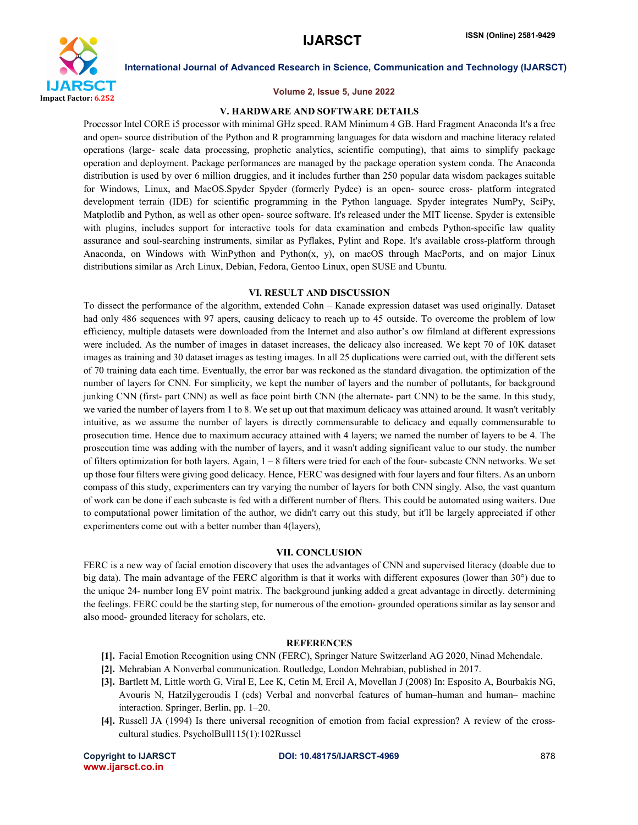

#### Volume 2, Issue 5, June 2022

### V. HARDWARE AND SOFTWARE DETAILS

Processor Intel CORE i5 processor with minimal GHz speed. RAM Minimum 4 GB. Hard Fragment Anaconda It's a free and open- source distribution of the Python and R programming languages for data wisdom and machine literacy related operations (large- scale data processing, prophetic analytics, scientific computing), that aims to simplify package operation and deployment. Package performances are managed by the package operation system conda. The Anaconda distribution is used by over 6 million druggies, and it includes further than 250 popular data wisdom packages suitable for Windows, Linux, and MacOS.Spyder Spyder (formerly Pydee) is an open- source cross- platform integrated development terrain (IDE) for scientific programming in the Python language. Spyder integrates NumPy, SciPy, Matplotlib and Python, as well as other open- source software. It's released under the MIT license. Spyder is extensible with plugins, includes support for interactive tools for data examination and embeds Python-specific law quality assurance and soul-searching instruments, similar as Pyflakes, Pylint and Rope. It's available cross-platform through Anaconda, on Windows with WinPython and Python(x, y), on macOS through MacPorts, and on major Linux distributions similar as Arch Linux, Debian, Fedora, Gentoo Linux, open SUSE and Ubuntu.

#### VI. RESULT AND DISCUSSION

To dissect the performance of the algorithm, extended Cohn – Kanade expression dataset was used originally. Dataset had only 486 sequences with 97 apers, causing delicacy to reach up to 45 outside. To overcome the problem of low efficiency, multiple datasets were downloaded from the Internet and also author's ow filmland at different expressions were included. As the number of images in dataset increases, the delicacy also increased. We kept 70 of 10K dataset images as training and 30 dataset images as testing images. In all 25 duplications were carried out, with the different sets of 70 training data each time. Eventually, the error bar was reckoned as the standard divagation. the optimization of the number of layers for CNN. For simplicity, we kept the number of layers and the number of pollutants, for background junking CNN (first- part CNN) as well as face point birth CNN (the alternate- part CNN) to be the same. In this study, we varied the number of layers from 1 to 8. We set up out that maximum delicacy was attained around. It wasn't veritably intuitive, as we assume the number of layers is directly commensurable to delicacy and equally commensurable to prosecution time. Hence due to maximum accuracy attained with 4 layers; we named the number of layers to be 4. The prosecution time was adding with the number of layers, and it wasn't adding significant value to our study. the number of filters optimization for both layers. Again, 1 – 8 filters were tried for each of the four- subcaste CNN networks. We set up those four filters were giving good delicacy. Hence, FERC was designed with four layers and four filters. As an unborn compass of this study, experimenters can try varying the number of layers for both CNN singly. Also, the vast quantum of work can be done if each subcaste is fed with a different number of flters. This could be automated using waiters. Due to computational power limitation of the author, we didn't carry out this study, but it'll be largely appreciated if other experimenters come out with a better number than 4(layers),

#### VII. CONCLUSION

FERC is a new way of facial emotion discovery that uses the advantages of CNN and supervised literacy (doable due to big data). The main advantage of the FERC algorithm is that it works with different exposures (lower than 30°) due to the unique 24- number long EV point matrix. The background junking added a great advantage in directly. determining the feelings. FERC could be the starting step, for numerous of the emotion- grounded operations similar as lay sensor and also mood- grounded literacy for scholars, etc.

#### **REFERENCES**

- [1]. Facial Emotion Recognition using CNN (FERC), Springer Nature Switzerland AG 2020, Ninad Mehendale.
- [2]. Mehrabian A Nonverbal communication. Routledge, London Mehrabian, published in 2017.
- [3]. Bartlett M, Little worth G, Viral E, Lee K, Cetin M, Ercil A, Movellan J (2008) In: Esposito A, Bourbakis NG, Avouris N, Hatzilygeroudis I (eds) Verbal and nonverbal features of human–human and human– machine interaction. Springer, Berlin, pp. 1–20.
- [4]. Russell JA (1994) Is there universal recognition of emotion from facial expression? A review of the crosscultural studies. PsycholBull115(1):102Russel

www.ijarsct.co.in